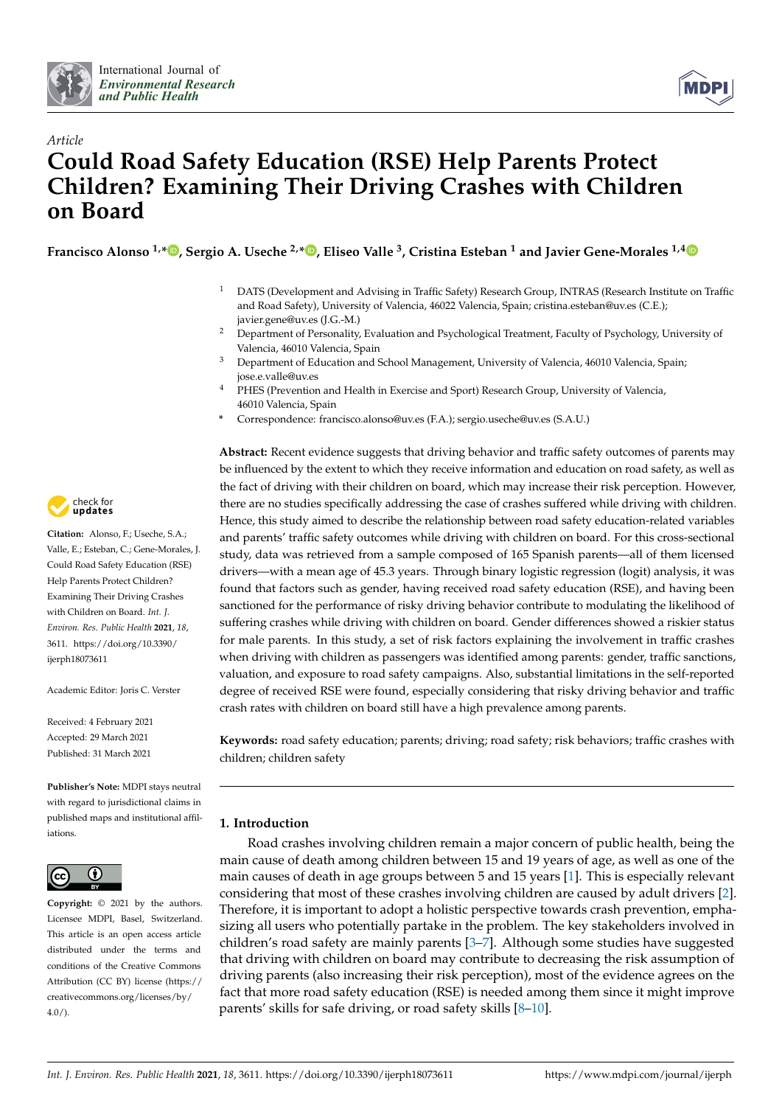



# *Article* **Could Road Safety Education (RSE) Help Parents Protect Children? Examining Their Driving Crashes with Children on Board**

**Francisco Alonso 1,[\\*](https://orcid.org/0000-0002-9482-8874) , Sergio A. Useche 2,[\\*](https://orcid.org/0000-0002-5099-4627) , Eliseo Valle <sup>3</sup> , Cristina Esteban <sup>1</sup> and Javier Gene-Morales 1,[4](https://orcid.org/0000-0002-5901-5245)**

- <sup>1</sup> DATS (Development and Advising in Traffic Safety) Research Group, INTRAS (Research Institute on Traffic and Road Safety), University of Valencia, 46022 Valencia, Spain; cristina.esteban@uv.es (C.E.); javier.gene@uv.es (J.G.-M.)
- <sup>2</sup> Department of Personality, Evaluation and Psychological Treatment, Faculty of Psychology, University of Valencia, 46010 Valencia, Spain
- <sup>3</sup> Department of Education and School Management, University of Valencia, 46010 Valencia, Spain; jose.e.valle@uv.es
- <sup>4</sup> PHES (Prevention and Health in Exercise and Sport) Research Group, University of Valencia, 46010 Valencia, Spain
- **\*** Correspondence: francisco.alonso@uv.es (F.A.); sergio.useche@uv.es (S.A.U.)

**Abstract:** Recent evidence suggests that driving behavior and traffic safety outcomes of parents may be influenced by the extent to which they receive information and education on road safety, as well as the fact of driving with their children on board, which may increase their risk perception. However, there are no studies specifically addressing the case of crashes suffered while driving with children. Hence, this study aimed to describe the relationship between road safety education-related variables and parents' traffic safety outcomes while driving with children on board. For this cross-sectional study, data was retrieved from a sample composed of 165 Spanish parents—all of them licensed drivers—with a mean age of 45.3 years. Through binary logistic regression (logit) analysis, it was found that factors such as gender, having received road safety education (RSE), and having been sanctioned for the performance of risky driving behavior contribute to modulating the likelihood of suffering crashes while driving with children on board. Gender differences showed a riskier status for male parents. In this study, a set of risk factors explaining the involvement in traffic crashes when driving with children as passengers was identified among parents: gender, traffic sanctions, valuation, and exposure to road safety campaigns. Also, substantial limitations in the self-reported degree of received RSE were found, especially considering that risky driving behavior and traffic crash rates with children on board still have a high prevalence among parents.

**Keywords:** road safety education; parents; driving; road safety; risk behaviors; traffic crashes with children; children safety

# **1. Introduction**

Road crashes involving children remain a major concern of public health, being the main cause of death among children between 15 and 19 years of age, as well as one of the main causes of death in age groups between 5 and 15 years [\[1\]](#page-9-0). This is especially relevant considering that most of these crashes involving children are caused by adult drivers [\[2\]](#page-9-1). Therefore, it is important to adopt a holistic perspective towards crash prevention, emphasizing all users who potentially partake in the problem. The key stakeholders involved in children's road safety are mainly parents [\[3–](#page-9-2)[7\]](#page-10-0). Although some studies have suggested that driving with children on board may contribute to decreasing the risk assumption of driving parents (also increasing their risk perception), most of the evidence agrees on the fact that more road safety education (RSE) is needed among them since it might improve parents' skills for safe driving, or road safety skills [\[8–](#page-10-1)[10\]](#page-10-2).



**Citation:** Alonso, F.; Useche, S.A.; Valle, E.; Esteban, C.; Gene-Morales, J. Could Road Safety Education (RSE) Help Parents Protect Children? Examining Their Driving Crashes with Children on Board. *Int. J. Environ. Res. Public Health* **2021**, *18*, 3611. [https://doi.org/10.3390/](https://doi.org/10.3390/ijerph18073611) [ijerph18073611](https://doi.org/10.3390/ijerph18073611)

Academic Editor: Joris C. Verster

Received: 4 February 2021 Accepted: 29 March 2021 Published: 31 March 2021

**Publisher's Note:** MDPI stays neutral with regard to jurisdictional claims in published maps and institutional affiliations.



**Copyright:** © 2021 by the authors. Licensee MDPI, Basel, Switzerland. This article is an open access article distributed under the terms and conditions of the Creative Commons Attribution (CC BY) license (https:/[/](https://creativecommons.org/licenses/by/4.0/) [creativecommons.org/licenses/by/](https://creativecommons.org/licenses/by/4.0/)  $4.0/$ ).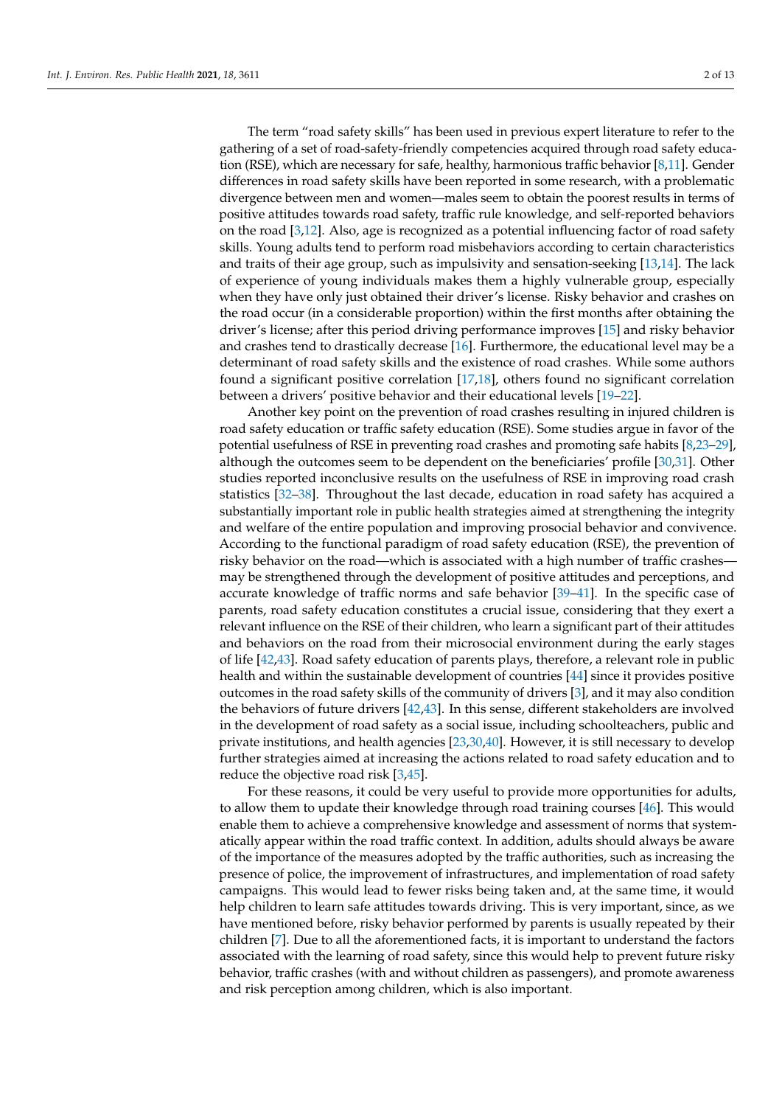The term "road safety skills" has been used in previous expert literature to refer to the gathering of a set of road-safety-friendly competencies acquired through road safety education (RSE), which are necessary for safe, healthy, harmonious traffic behavior [\[8,](#page-10-1)[11\]](#page-10-3). Gender differences in road safety skills have been reported in some research, with a problematic divergence between men and women—males seem to obtain the poorest results in terms of positive attitudes towards road safety, traffic rule knowledge, and self-reported behaviors on the road  $[3,12]$  $[3,12]$ . Also, age is recognized as a potential influencing factor of road safety skills. Young adults tend to perform road misbehaviors according to certain characteristics and traits of their age group, such as impulsivity and sensation-seeking [\[13,](#page-10-5)[14\]](#page-10-6). The lack of experience of young individuals makes them a highly vulnerable group, especially when they have only just obtained their driver's license. Risky behavior and crashes on the road occur (in a considerable proportion) within the first months after obtaining the driver's license; after this period driving performance improves [\[15\]](#page-10-7) and risky behavior and crashes tend to drastically decrease [\[16\]](#page-10-8). Furthermore, the educational level may be a determinant of road safety skills and the existence of road crashes. While some authors found a significant positive correlation [\[17](#page-10-9)[,18\]](#page-10-10), others found no significant correlation between a drivers' positive behavior and their educational levels [\[19–](#page-10-11)[22\]](#page-10-12).

Another key point on the prevention of road crashes resulting in injured children is road safety education or traffic safety education (RSE). Some studies argue in favor of the potential usefulness of RSE in preventing road crashes and promoting safe habits [\[8,](#page-10-1)[23–](#page-10-13)[29\]](#page-10-14), although the outcomes seem to be dependent on the beneficiaries' profile [\[30,](#page-10-15)[31\]](#page-10-16). Other studies reported inconclusive results on the usefulness of RSE in improving road crash statistics [\[32](#page-10-17)[–38\]](#page-11-0). Throughout the last decade, education in road safety has acquired a substantially important role in public health strategies aimed at strengthening the integrity and welfare of the entire population and improving prosocial behavior and convivence. According to the functional paradigm of road safety education (RSE), the prevention of risky behavior on the road—which is associated with a high number of traffic crashes may be strengthened through the development of positive attitudes and perceptions, and accurate knowledge of traffic norms and safe behavior [\[39](#page-11-1)[–41\]](#page-11-2). In the specific case of parents, road safety education constitutes a crucial issue, considering that they exert a relevant influence on the RSE of their children, who learn a significant part of their attitudes and behaviors on the road from their microsocial environment during the early stages of life [\[42,](#page-11-3)[43\]](#page-11-4). Road safety education of parents plays, therefore, a relevant role in public health and within the sustainable development of countries [\[44\]](#page-11-5) since it provides positive outcomes in the road safety skills of the community of drivers [\[3\]](#page-9-2), and it may also condition the behaviors of future drivers [\[42](#page-11-3)[,43\]](#page-11-4). In this sense, different stakeholders are involved in the development of road safety as a social issue, including schoolteachers, public and private institutions, and health agencies [\[23](#page-10-13)[,30](#page-10-15)[,40\]](#page-11-6). However, it is still necessary to develop further strategies aimed at increasing the actions related to road safety education and to reduce the objective road risk [\[3,](#page-9-2)[45\]](#page-11-7).

For these reasons, it could be very useful to provide more opportunities for adults, to allow them to update their knowledge through road training courses [\[46\]](#page-11-8). This would enable them to achieve a comprehensive knowledge and assessment of norms that systematically appear within the road traffic context. In addition, adults should always be aware of the importance of the measures adopted by the traffic authorities, such as increasing the presence of police, the improvement of infrastructures, and implementation of road safety campaigns. This would lead to fewer risks being taken and, at the same time, it would help children to learn safe attitudes towards driving. This is very important, since, as we have mentioned before, risky behavior performed by parents is usually repeated by their children [\[7\]](#page-10-0). Due to all the aforementioned facts, it is important to understand the factors associated with the learning of road safety, since this would help to prevent future risky behavior, traffic crashes (with and without children as passengers), and promote awareness and risk perception among children, which is also important.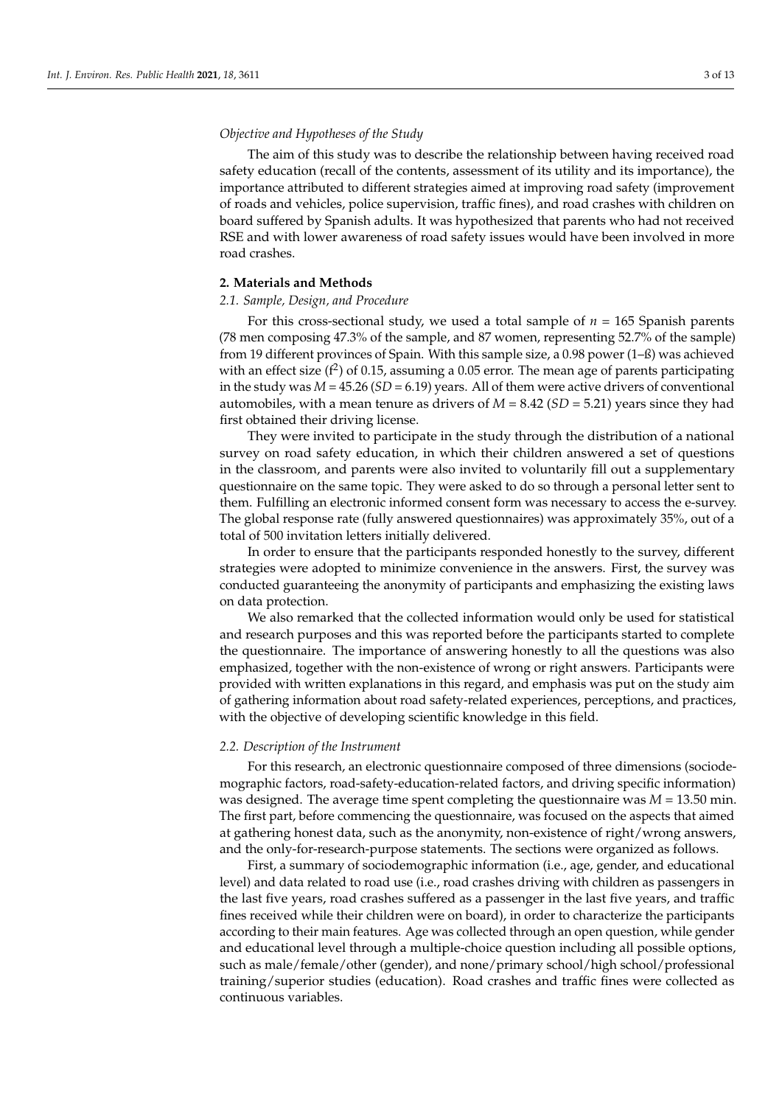## *Objective and Hypotheses of the Study*

The aim of this study was to describe the relationship between having received road safety education (recall of the contents, assessment of its utility and its importance), the importance attributed to different strategies aimed at improving road safety (improvement of roads and vehicles, police supervision, traffic fines), and road crashes with children on board suffered by Spanish adults. It was hypothesized that parents who had not received RSE and with lower awareness of road safety issues would have been involved in more road crashes.

# **2. Materials and Methods**

#### *2.1. Sample, Design, and Procedure*

For this cross-sectional study, we used a total sample of *n =* 165 Spanish parents (78 men composing 47.3% of the sample, and 87 women, representing 52.7% of the sample) from 19 different provinces of Spain. With this sample size, a 0.98 power (1–ß) was achieved with an effect size ( $f^2$ ) of 0.15, assuming a 0.05 error. The mean age of parents participating in the study was  $M = 45.26$  ( $SD = 6.19$ ) years. All of them were active drivers of conventional automobiles, with a mean tenure as drivers of *M* = 8.42 (*SD* = 5.21) years since they had first obtained their driving license.

They were invited to participate in the study through the distribution of a national survey on road safety education, in which their children answered a set of questions in the classroom, and parents were also invited to voluntarily fill out a supplementary questionnaire on the same topic. They were asked to do so through a personal letter sent to them. Fulfilling an electronic informed consent form was necessary to access the e-survey. The global response rate (fully answered questionnaires) was approximately 35%, out of a total of 500 invitation letters initially delivered.

In order to ensure that the participants responded honestly to the survey, different strategies were adopted to minimize convenience in the answers. First, the survey was conducted guaranteeing the anonymity of participants and emphasizing the existing laws on data protection.

We also remarked that the collected information would only be used for statistical and research purposes and this was reported before the participants started to complete the questionnaire. The importance of answering honestly to all the questions was also emphasized, together with the non-existence of wrong or right answers. Participants were provided with written explanations in this regard, and emphasis was put on the study aim of gathering information about road safety-related experiences, perceptions, and practices, with the objective of developing scientific knowledge in this field.

#### *2.2. Description of the Instrument*

For this research, an electronic questionnaire composed of three dimensions (sociodemographic factors, road-safety-education-related factors, and driving specific information) was designed. The average time spent completing the questionnaire was *M* = 13.50 min. The first part, before commencing the questionnaire, was focused on the aspects that aimed at gathering honest data, such as the anonymity, non-existence of right/wrong answers, and the only-for-research-purpose statements. The sections were organized as follows.

First, a summary of sociodemographic information (i.e., age, gender, and educational level) and data related to road use (i.e., road crashes driving with children as passengers in the last five years, road crashes suffered as a passenger in the last five years, and traffic fines received while their children were on board), in order to characterize the participants according to their main features. Age was collected through an open question, while gender and educational level through a multiple-choice question including all possible options, such as male/female/other (gender), and none/primary school/high school/professional training/superior studies (education). Road crashes and traffic fines were collected as continuous variables.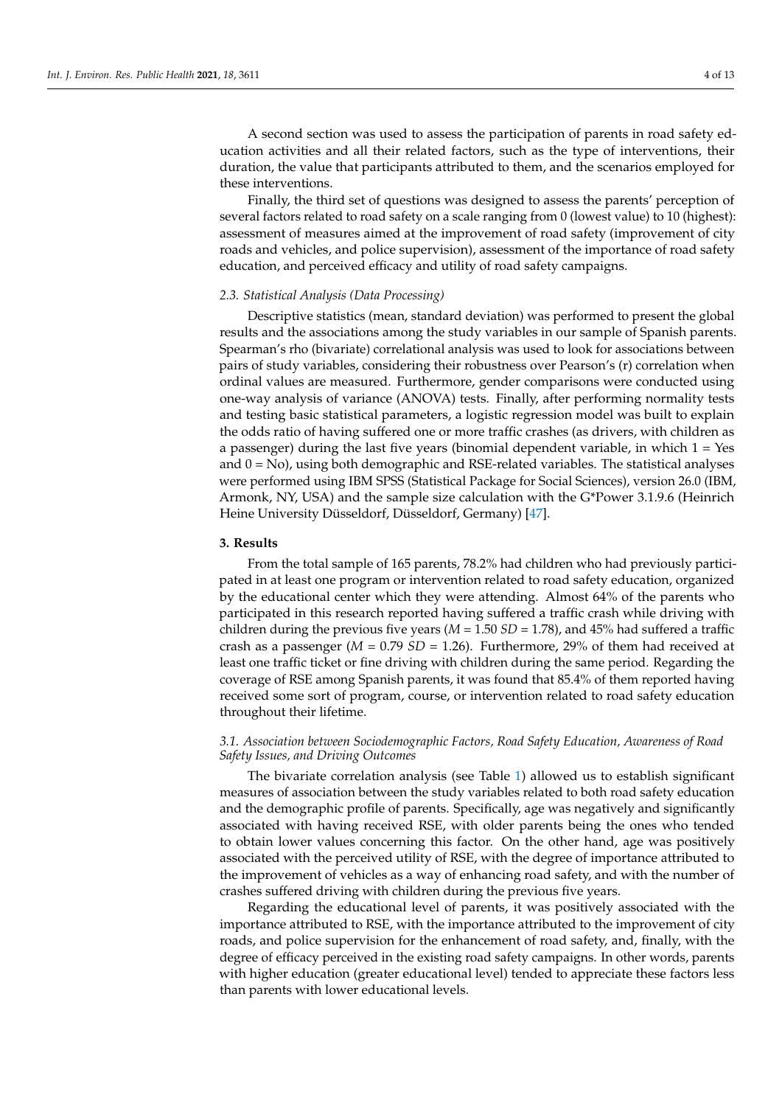A second section was used to assess the participation of parents in road safety education activities and all their related factors, such as the type of interventions, their duration, the value that participants attributed to them, and the scenarios employed for these interventions.

Finally, the third set of questions was designed to assess the parents' perception of several factors related to road safety on a scale ranging from 0 (lowest value) to 10 (highest): assessment of measures aimed at the improvement of road safety (improvement of city roads and vehicles, and police supervision), assessment of the importance of road safety education, and perceived efficacy and utility of road safety campaigns.

# *2.3. Statistical Analysis (Data Processing)*

Descriptive statistics (mean, standard deviation) was performed to present the global results and the associations among the study variables in our sample of Spanish parents. Spearman's rho (bivariate) correlational analysis was used to look for associations between pairs of study variables, considering their robustness over Pearson's (r) correlation when ordinal values are measured. Furthermore, gender comparisons were conducted using one-way analysis of variance (ANOVA) tests. Finally, after performing normality tests and testing basic statistical parameters, a logistic regression model was built to explain the odds ratio of having suffered one or more traffic crashes (as drivers, with children as a passenger) during the last five years (binomial dependent variable, in which  $1 = Yes$ and  $0 = No$ ), using both demographic and RSE-related variables. The statistical analyses were performed using IBM SPSS (Statistical Package for Social Sciences), version 26.0 (IBM, Armonk, NY, USA) and the sample size calculation with the G\*Power 3.1.9.6 (Heinrich Heine University Düsseldorf, Düsseldorf, Germany) [\[47\]](#page-11-9).

# **3. Results**

From the total sample of 165 parents, 78.2% had children who had previously participated in at least one program or intervention related to road safety education, organized by the educational center which they were attending. Almost 64% of the parents who participated in this research reported having suffered a traffic crash while driving with children during the previous five years  $(M = 1.50 SD = 1.78)$ , and 45% had suffered a traffic crash as a passenger (*M =* 0.79 *SD* = 1.26). Furthermore, 29% of them had received at least one traffic ticket or fine driving with children during the same period. Regarding the coverage of RSE among Spanish parents, it was found that 85.4% of them reported having received some sort of program, course, or intervention related to road safety education throughout their lifetime.

# *3.1. Association between Sociodemographic Factors, Road Safety Education, Awareness of Road Safety Issues, and Driving Outcomes*

The bivariate correlation analysis (see Table [1\)](#page-4-0) allowed us to establish significant measures of association between the study variables related to both road safety education and the demographic profile of parents. Specifically, age was negatively and significantly associated with having received RSE, with older parents being the ones who tended to obtain lower values concerning this factor. On the other hand, age was positively associated with the perceived utility of RSE, with the degree of importance attributed to the improvement of vehicles as a way of enhancing road safety, and with the number of crashes suffered driving with children during the previous five years.

Regarding the educational level of parents, it was positively associated with the importance attributed to RSE, with the importance attributed to the improvement of city roads, and police supervision for the enhancement of road safety, and, finally, with the degree of efficacy perceived in the existing road safety campaigns. In other words, parents with higher education (greater educational level) tended to appreciate these factors less than parents with lower educational levels.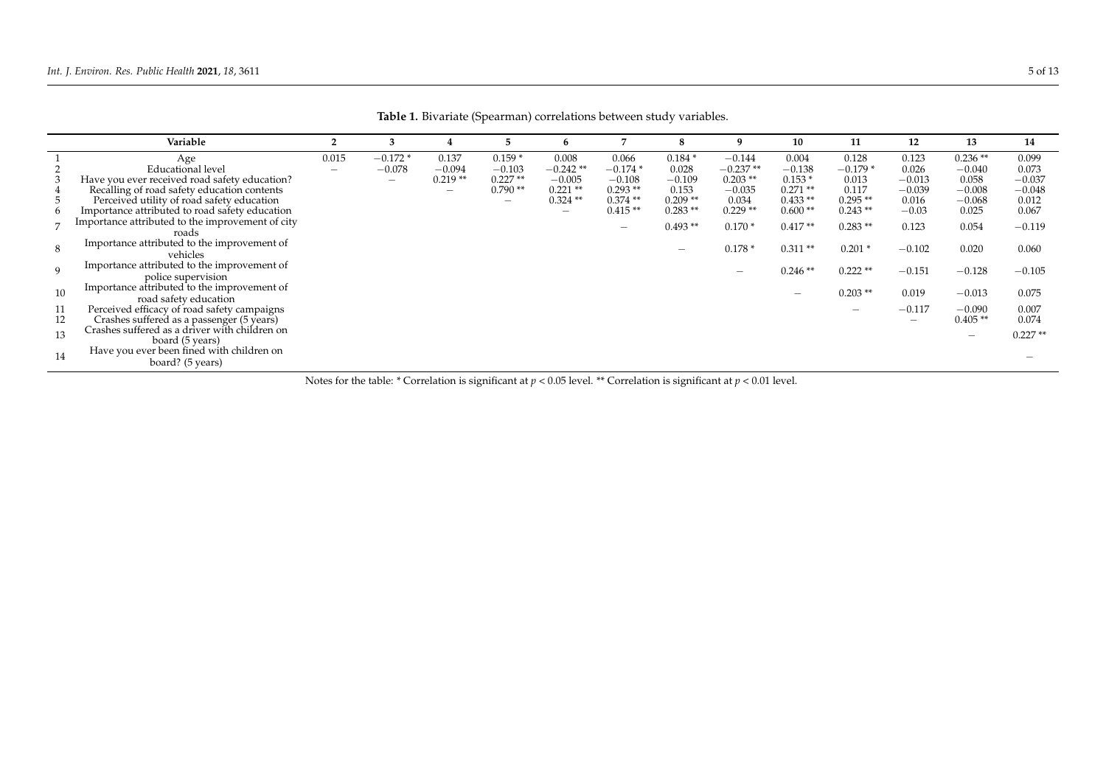|                | Variable                                                                                                                                                                      |                                   | 3                                        |                                                            | 5.                                                  | 6                                                           | 7                                                        |                                                     | 9                                                        | 10                                                      | 11                                                | 12                                              | 13                                                     | 14                                              |
|----------------|-------------------------------------------------------------------------------------------------------------------------------------------------------------------------------|-----------------------------------|------------------------------------------|------------------------------------------------------------|-----------------------------------------------------|-------------------------------------------------------------|----------------------------------------------------------|-----------------------------------------------------|----------------------------------------------------------|---------------------------------------------------------|---------------------------------------------------|-------------------------------------------------|--------------------------------------------------------|-------------------------------------------------|
|                | Age<br><b>Educational level</b><br>Have you ever received road safety education?<br>Recalling of road safety education contents<br>Perceived utility of road safety education | 0.015<br>$\overline{\phantom{0}}$ | $-0.172*$<br>$-0.078$<br>$\qquad \qquad$ | 0.137<br>$-0.094$<br>$0.219**$<br>$\overline{\phantom{0}}$ | $0.159*$<br>$-0.103$<br>$0.227**$<br>$0.790**$<br>— | 0.008<br>$-0.242**$<br>$-0.005$<br>$0.221$ **<br>$0.324$ ** | 0.066<br>$-0.174*$<br>$-0.108$<br>$0.293**$<br>$0.374**$ | $0.184*$<br>0.028<br>$-0.109$<br>0.153<br>$0.209**$ | $-0.144$<br>$-0.237**$<br>$0.203**$<br>$-0.035$<br>0.034 | 0.004<br>$-0.138$<br>$0.153*$<br>$0.271**$<br>$0.433**$ | 0.128<br>$-0.179*$<br>0.013<br>0.117<br>$0.295**$ | 0.123<br>0.026<br>$-0.013$<br>$-0.039$<br>0.016 | $0.236**$<br>$-0.040$<br>0.058<br>$-0.008$<br>$-0.068$ | 0.099<br>0.073<br>$-0.037$<br>$-0.048$<br>0.012 |
| 8              | Importance attributed to road safety education<br>Importance attributed to the improvement of city<br>roads<br>Importance attributed to the improvement of                    |                                   |                                          |                                                            |                                                     | $\qquad \qquad$                                             | $0.415**$<br>$\overline{\phantom{0}}$                    | $0.283**$<br>$0.493**$                              | $0.229**$<br>$0.170*$<br>$0.178*$                        | $0.600**$<br>$0.417**$<br>$0.311**$                     | $0.243**$<br>$0.283**$<br>$0.201*$                | $-0.03$<br>0.123<br>$-0.102$                    | 0.025<br>0.054<br>0.020                                | 0.067<br>$-0.119$<br>0.060                      |
| 9              | vehicles<br>Importance attributed to the improvement of<br>police supervision<br>Importance attributed to the improvement of                                                  |                                   |                                          |                                                            |                                                     |                                                             |                                                          |                                                     |                                                          | $0.246**$                                               | $0.222**$                                         | $-0.151$                                        | $-0.128$                                               | $-0.105$                                        |
| 10<br>11<br>12 | road safety education<br>Perceived efficacy of road safety campaigns<br>Crashes suffered as a passenger (5 years)                                                             |                                   |                                          |                                                            |                                                     |                                                             |                                                          |                                                     |                                                          | $\overline{\phantom{m}}$                                | $0.203$ **<br>$\overline{\phantom{0}}$            | 0.019<br>$-0.117$<br>$\overline{\phantom{m}}$   | $-0.013$<br>$-0.090$<br>$0.405**$                      | 0.075<br>0.007<br>0.074                         |
| 13<br>14       | Crashes suffered as a driver with children on<br>board (5 years)<br>Have you ever been fined with children on<br>board? (5 years)                                             |                                   |                                          |                                                            |                                                     |                                                             |                                                          |                                                     |                                                          |                                                         |                                                   |                                                 |                                                        | $0.227**$<br>$\qquad \qquad \longleftarrow$     |

**Table 1.** Bivariate (Spearman) correlations between study variables.

<span id="page-4-0"></span>Notes for the table: \* Correlation is significant at *p* < 0.05 level. \*\* Correlation is significant at *p* < 0.01 level.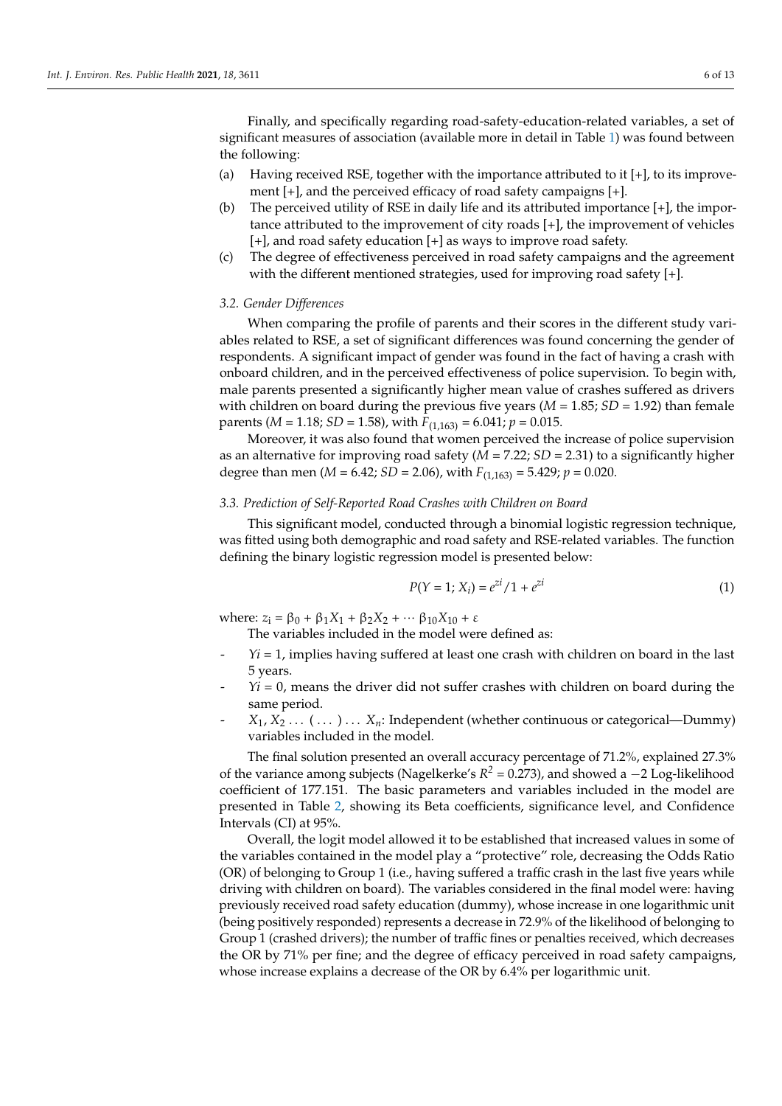Finally, and specifically regarding road-safety-education-related variables, a set of significant measures of association (available more in detail in Table [1\)](#page-4-0) was found between the following:

- (a) Having received RSE, together with the importance attributed to it  $[+]$ , to its improvement [+], and the perceived efficacy of road safety campaigns [+].
- (b) The perceived utility of RSE in daily life and its attributed importance [+], the importance attributed to the improvement of city roads [+], the improvement of vehicles [+], and road safety education [+] as ways to improve road safety.
- (c) The degree of effectiveness perceived in road safety campaigns and the agreement with the different mentioned strategies, used for improving road safety [+].

## *3.2. Gender Differences*

When comparing the profile of parents and their scores in the different study variables related to RSE, a set of significant differences was found concerning the gender of respondents. A significant impact of gender was found in the fact of having a crash with onboard children, and in the perceived effectiveness of police supervision. To begin with, male parents presented a significantly higher mean value of crashes suffered as drivers with children on board during the previous five years ( $M = 1.85$ ;  $SD = 1.92$ ) than female parents (*M* = 1.18; *SD* = 1.58), with  $F_{(1,163)}$  = 6.041;  $p$  = 0.015.

Moreover, it was also found that women perceived the increase of police supervision as an alternative for improving road safety (*M =* 7.22; *SD* = 2.31) to a significantly higher degree than men (*M* = 6.42; *SD* = 2.06), with  $F_{(1,163)}$  = 5.429;  $p$  = 0.020.

#### *3.3. Prediction of Self-Reported Road Crashes with Children on Board*

This significant model, conducted through a binomial logistic regression technique, was fitted using both demographic and road safety and RSE-related variables. The function defining the binary logistic regression model is presented below:

$$
P(Y = 1; X_i) = e^{2i}/1 + e^{2i}
$$
 (1)

where:  $z_1 = \beta_0 + \beta_1 X_1 + \beta_2 X_2 + \cdots \beta_{10} X_{10} + \varepsilon$ 

The variables included in the model were defined as:

- $Y_i = 1$ , implies having suffered at least one crash with children on board in the last 5 years.
- $Yi = 0$ , means the driver did not suffer crashes with children on board during the same period.
- $X_1, X_2, \ldots, \ldots, X_n$ : Independent (whether continuous or categorical—Dummy) variables included in the model.

The final solution presented an overall accuracy percentage of 71.2%, explained 27.3% of the variance among subjects (Nagelkerke's  $R^2$  = 0.273), and showed a −2 Log-likelihood coefficient of 177.151. The basic parameters and variables included in the model are presented in Table [2,](#page-6-0) showing its Beta coefficients, significance level, and Confidence Intervals (CI) at 95%.

Overall, the logit model allowed it to be established that increased values in some of the variables contained in the model play a "protective" role, decreasing the Odds Ratio (OR) of belonging to Group 1 (i.e., having suffered a traffic crash in the last five years while driving with children on board). The variables considered in the final model were: having previously received road safety education (dummy), whose increase in one logarithmic unit (being positively responded) represents a decrease in 72.9% of the likelihood of belonging to Group 1 (crashed drivers); the number of traffic fines or penalties received, which decreases the OR by 71% per fine; and the degree of efficacy perceived in road safety campaigns, whose increase explains a decrease of the OR by 6.4% per logarithmic unit.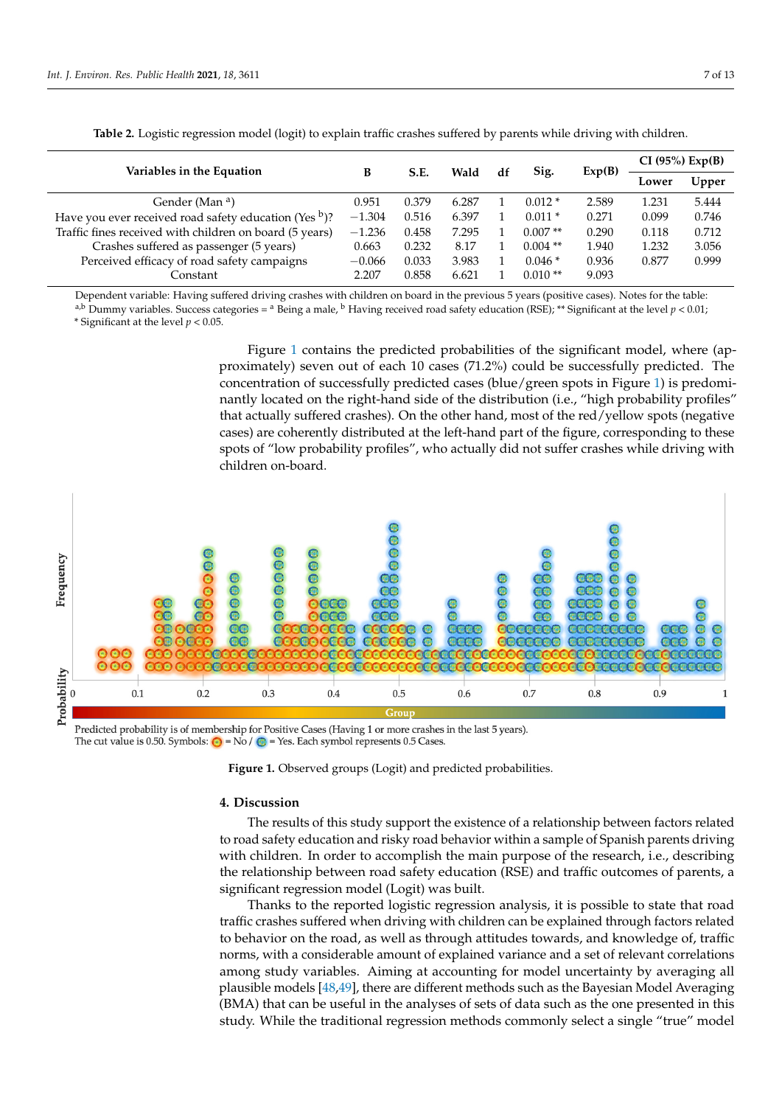<span id="page-6-0"></span>

| Table 2. Logistic regression model (logit) to explain traffic crasnes suffered by parents while driving with children. |          |       |       |    |           |        |                 |       |  |  |
|------------------------------------------------------------------------------------------------------------------------|----------|-------|-------|----|-----------|--------|-----------------|-------|--|--|
| Variables in the Equation                                                                                              | в        | S.E.  | Wald  | df | Sig.      | Exp(B) | CI (95%) Exp(B) |       |  |  |
|                                                                                                                        |          |       |       |    |           |        | Lower           | Upper |  |  |
| Gender (Man <sup>a</sup> )                                                                                             | 0.951    | 0.379 | 6.287 |    | $0.012*$  | 2.589  | 1.231           | 5.444 |  |  |
| Have you ever received road safety education (Yes $\frac{b}{2}$ )?                                                     | $-1.304$ | 0.516 | 6.397 |    | $0.011*$  | 0.271  | 0.099           | 0.746 |  |  |
| Traffic fines received with children on board (5 years)                                                                | $-1.236$ | 0.458 | 7.295 |    | $0.007**$ | 0.290  | 0.118           | 0.712 |  |  |

**Table 2.** Logistic regression model (logit) to explain traffic crashes suffered by parents while driving with children.

Constant 2.207 0.858 6.621 1 0.010 \*\* 9.093 Dependent variable: Having suffered driving crashes with children on board in the previous 5 years (positive cases). Notes for the table:

Crashes suffered as passenger (5 years) 0.663 0.232 8.17 1 0.004 \*\* 1.940 1.232 3.056 Perceived efficacy of road safety campaigns  $-0.066$  0.033 3.983 1 0.046  $*$  0.936 0.877 0.999

a,b Dummy variables. Success categories =  $^{\text{a}}$  Being a male,  $^{\text{b}}$  Having received road safety education (RSE); \*\* Significant at the level  $p < 0.01$ ; \* Significant at the level *p* < 0.05.

Figure [1](#page-6-1) contains the predicted probabilities of the significant model, where (approximately) seven out of each 10 cases (71.2%) could be successfully predicted. The concentration of successfully predicted cases (blue/green spots in Figure [1\)](#page-6-1) is predominantly located on the right-hand side of the distribution (i.e., "high probability profiles" that actually suffered crashes). On the other hand, most of the red/yellow spots (negative  $\overline{\phantom{a}}$ cases) are coherently distributed at the left-hand part of the figure, corresponding to these spots of "low probability profiles", who actually did not suffer crashes while driving with children on-board.

<span id="page-6-1"></span>

Predicted probability is of membership for Positive Cases (Having 1 or more crashes in the last 5 years). The cut value is 0.50. Symbols:  $\bigcirc$  = No /  $\bigcirc$  = Yes. Each symbol represents 0.5 Cases.

**Figure 1.** Observed groups (Logit) and predicted probabilities. **Figure 1.** Observed groups (Logit) and predicted probabilities.

# **4. Discussion 4. Discussion**

The results of this study support the existence of a relationship between factors related to road safety education and risky road behavior within a sample of Spanish parents driving with children. In order to accomplish the main purpose of the research, i.e., describing the relationship between road safety education (RSE) and traffic outcomes of parents, a significant regression model (Logit) was built.

Thanks to the reported logistic regression analysis, it is possible to state that road Thanks to the reported logistic regression analysis, it is possible to state that road traffic crashes suffered when driving with children can be explained through factors related to behavior on the road, as well as through attitudes towards, and knowledge of, traffic norms, with a considerable amount of explained variance and a set of relevant correlations among study variables. Aiming at accounting for model uncertainty by averaging all plausible models [\[48](#page-11-10)[,49\]](#page-11-11), there are different methods such as the Bayesian Model Averaging<br>(RMA), the contract of the class of the class of the class of the class of the class of the class of the class  $(MA)$  that can be useful in the analyses of sets of data such as the one presented in this  $(MA)$ study. While the traditional regression methods commonly select a single "true" model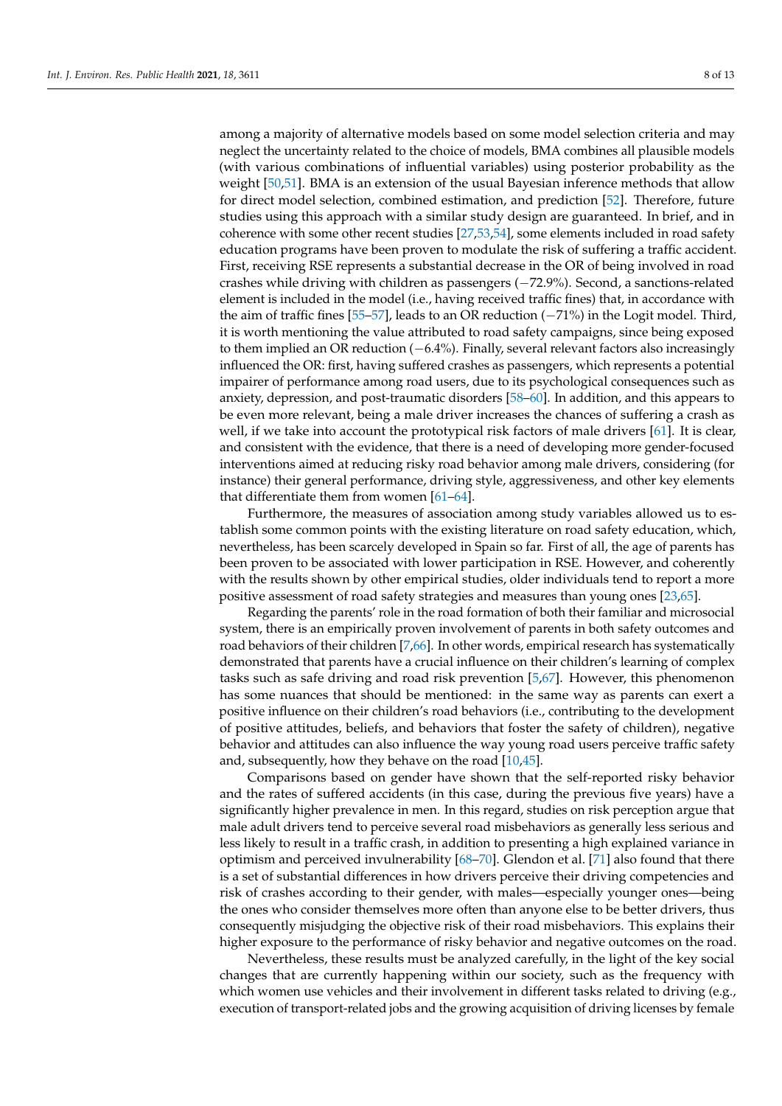among a majority of alternative models based on some model selection criteria and may neglect the uncertainty related to the choice of models, BMA combines all plausible models (with various combinations of influential variables) using posterior probability as the weight [\[50](#page-11-12)[,51\]](#page-11-13). BMA is an extension of the usual Bayesian inference methods that allow for direct model selection, combined estimation, and prediction [\[52\]](#page-11-14). Therefore, future studies using this approach with a similar study design are guaranteed. In brief, and in coherence with some other recent studies [\[27](#page-10-18)[,53,](#page-11-15)[54\]](#page-11-16), some elements included in road safety education programs have been proven to modulate the risk of suffering a traffic accident. First, receiving RSE represents a substantial decrease in the OR of being involved in road crashes while driving with children as passengers (−72.9%). Second, a sanctions-related element is included in the model (i.e., having received traffic fines) that, in accordance with the aim of traffic fines [\[55–](#page-11-17)[57\]](#page-11-18), leads to an OR reduction (−71%) in the Logit model. Third, it is worth mentioning the value attributed to road safety campaigns, since being exposed to them implied an OR reduction (−6.4%). Finally, several relevant factors also increasingly influenced the OR: first, having suffered crashes as passengers, which represents a potential impairer of performance among road users, due to its psychological consequences such as anxiety, depression, and post-traumatic disorders [\[58](#page-11-19)[–60\]](#page-11-20). In addition, and this appears to be even more relevant, being a male driver increases the chances of suffering a crash as well, if we take into account the prototypical risk factors of male drivers [\[61\]](#page-11-21). It is clear, and consistent with the evidence, that there is a need of developing more gender-focused interventions aimed at reducing risky road behavior among male drivers, considering (for instance) their general performance, driving style, aggressiveness, and other key elements that differentiate them from women [\[61–](#page-11-21)[64\]](#page-12-0).

Furthermore, the measures of association among study variables allowed us to establish some common points with the existing literature on road safety education, which, nevertheless, has been scarcely developed in Spain so far. First of all, the age of parents has been proven to be associated with lower participation in RSE. However, and coherently with the results shown by other empirical studies, older individuals tend to report a more positive assessment of road safety strategies and measures than young ones [\[23,](#page-10-13)[65\]](#page-12-1).

Regarding the parents' role in the road formation of both their familiar and microsocial system, there is an empirically proven involvement of parents in both safety outcomes and road behaviors of their children [\[7](#page-10-0)[,66\]](#page-12-2). In other words, empirical research has systematically demonstrated that parents have a crucial influence on their children's learning of complex tasks such as safe driving and road risk prevention [\[5](#page-10-19)[,67\]](#page-12-3). However, this phenomenon has some nuances that should be mentioned: in the same way as parents can exert a positive influence on their children's road behaviors (i.e., contributing to the development of positive attitudes, beliefs, and behaviors that foster the safety of children), negative behavior and attitudes can also influence the way young road users perceive traffic safety and, subsequently, how they behave on the road [\[10](#page-10-2)[,45\]](#page-11-7).

Comparisons based on gender have shown that the self-reported risky behavior and the rates of suffered accidents (in this case, during the previous five years) have a significantly higher prevalence in men. In this regard, studies on risk perception argue that male adult drivers tend to perceive several road misbehaviors as generally less serious and less likely to result in a traffic crash, in addition to presenting a high explained variance in optimism and perceived invulnerability [\[68–](#page-12-4)[70\]](#page-12-5). Glendon et al. [\[71\]](#page-12-6) also found that there is a set of substantial differences in how drivers perceive their driving competencies and risk of crashes according to their gender, with males—especially younger ones—being the ones who consider themselves more often than anyone else to be better drivers, thus consequently misjudging the objective risk of their road misbehaviors. This explains their higher exposure to the performance of risky behavior and negative outcomes on the road.

Nevertheless, these results must be analyzed carefully, in the light of the key social changes that are currently happening within our society, such as the frequency with which women use vehicles and their involvement in different tasks related to driving (e.g., execution of transport-related jobs and the growing acquisition of driving licenses by female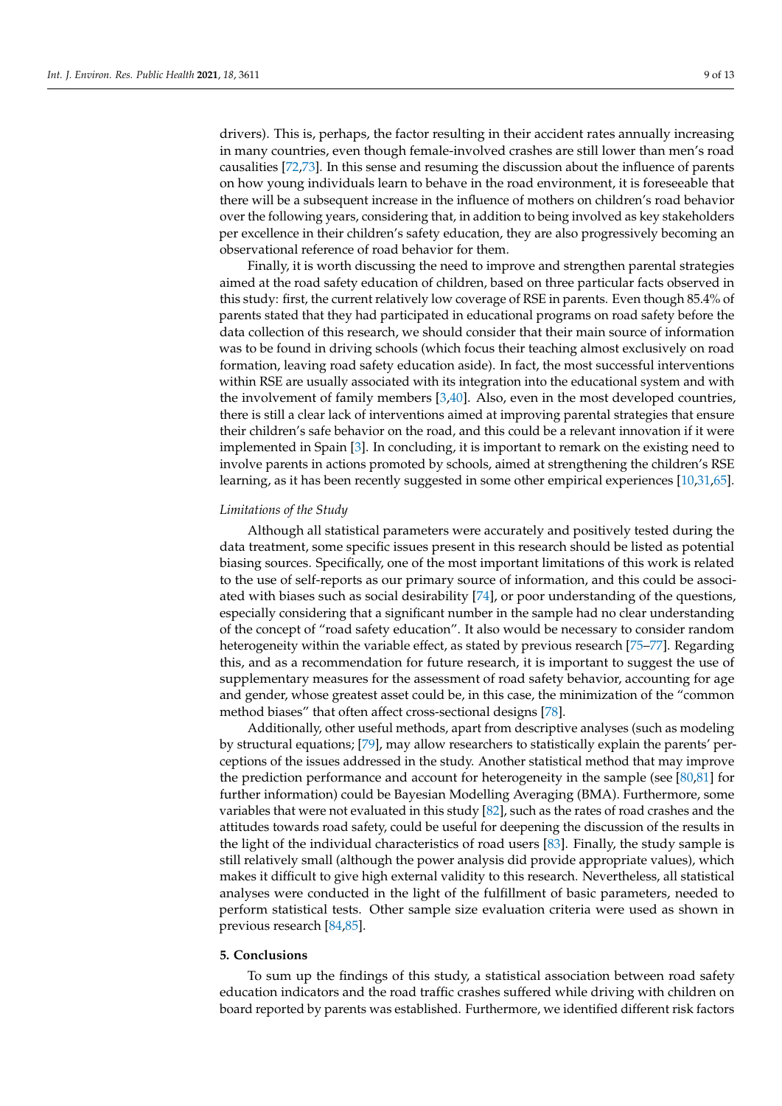drivers). This is, perhaps, the factor resulting in their accident rates annually increasing in many countries, even though female-involved crashes are still lower than men's road causalities [\[72,](#page-12-7)[73\]](#page-12-8). In this sense and resuming the discussion about the influence of parents on how young individuals learn to behave in the road environment, it is foreseeable that there will be a subsequent increase in the influence of mothers on children's road behavior over the following years, considering that, in addition to being involved as key stakeholders per excellence in their children's safety education, they are also progressively becoming an observational reference of road behavior for them.

Finally, it is worth discussing the need to improve and strengthen parental strategies aimed at the road safety education of children, based on three particular facts observed in this study: first, the current relatively low coverage of RSE in parents. Even though 85.4% of parents stated that they had participated in educational programs on road safety before the data collection of this research, we should consider that their main source of information was to be found in driving schools (which focus their teaching almost exclusively on road formation, leaving road safety education aside). In fact, the most successful interventions within RSE are usually associated with its integration into the educational system and with the involvement of family members [\[3,](#page-9-2)[40\]](#page-11-6). Also, even in the most developed countries, there is still a clear lack of interventions aimed at improving parental strategies that ensure their children's safe behavior on the road, and this could be a relevant innovation if it were implemented in Spain [\[3\]](#page-9-2). In concluding, it is important to remark on the existing need to involve parents in actions promoted by schools, aimed at strengthening the children's RSE learning, as it has been recently suggested in some other empirical experiences [\[10,](#page-10-2)[31,](#page-10-16)[65\]](#page-12-1).

## *Limitations of the Study*

Although all statistical parameters were accurately and positively tested during the data treatment, some specific issues present in this research should be listed as potential biasing sources. Specifically, one of the most important limitations of this work is related to the use of self-reports as our primary source of information, and this could be associated with biases such as social desirability [\[74\]](#page-12-9), or poor understanding of the questions, especially considering that a significant number in the sample had no clear understanding of the concept of "road safety education". It also would be necessary to consider random heterogeneity within the variable effect, as stated by previous research [\[75–](#page-12-10)[77\]](#page-12-11). Regarding this, and as a recommendation for future research, it is important to suggest the use of supplementary measures for the assessment of road safety behavior, accounting for age and gender, whose greatest asset could be, in this case, the minimization of the "common method biases" that often affect cross-sectional designs [\[78\]](#page-12-12).

Additionally, other useful methods, apart from descriptive analyses (such as modeling by structural equations; [\[79\]](#page-12-13), may allow researchers to statistically explain the parents' perceptions of the issues addressed in the study. Another statistical method that may improve the prediction performance and account for heterogeneity in the sample (see [\[80](#page-12-14)[,81\]](#page-12-15) for further information) could be Bayesian Modelling Averaging (BMA). Furthermore, some variables that were not evaluated in this study [\[82\]](#page-12-16), such as the rates of road crashes and the attitudes towards road safety, could be useful for deepening the discussion of the results in the light of the individual characteristics of road users [\[83\]](#page-12-17). Finally, the study sample is still relatively small (although the power analysis did provide appropriate values), which makes it difficult to give high external validity to this research. Nevertheless, all statistical analyses were conducted in the light of the fulfillment of basic parameters, needed to perform statistical tests. Other sample size evaluation criteria were used as shown in previous research [\[84](#page-12-18)[,85\]](#page-12-19).

#### **5. Conclusions**

To sum up the findings of this study, a statistical association between road safety education indicators and the road traffic crashes suffered while driving with children on board reported by parents was established. Furthermore, we identified different risk factors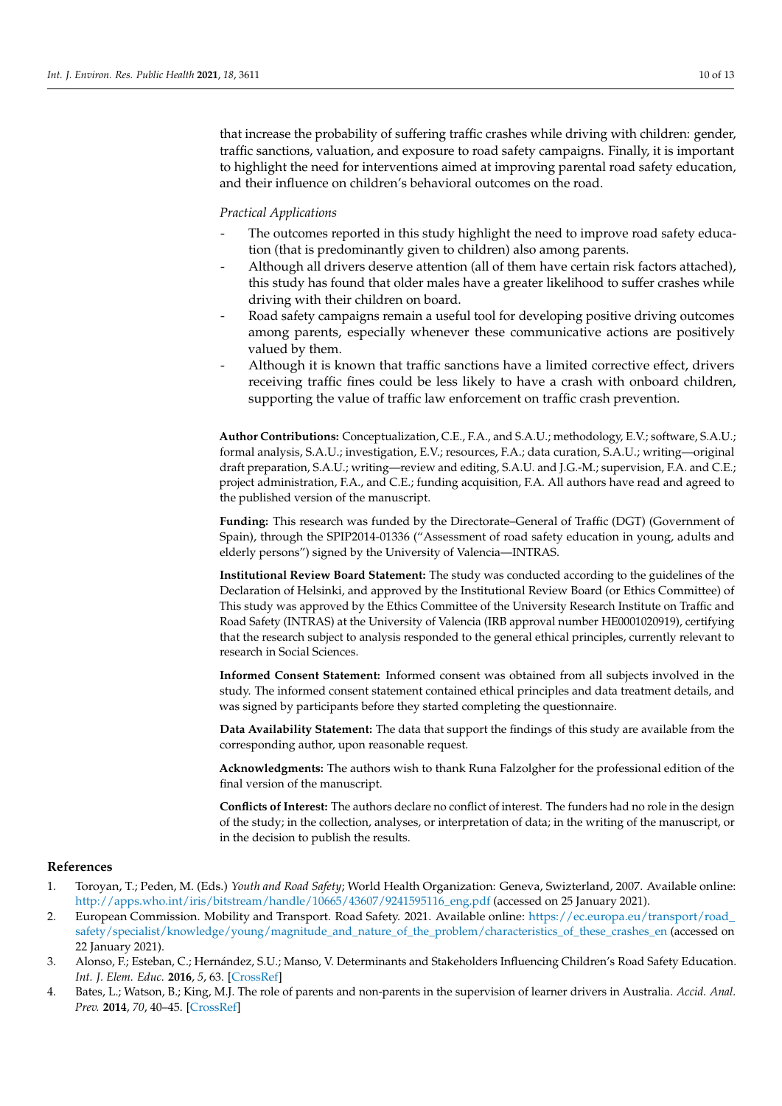that increase the probability of suffering traffic crashes while driving with children: gender, traffic sanctions, valuation, and exposure to road safety campaigns. Finally, it is important to highlight the need for interventions aimed at improving parental road safety education, and their influence on children's behavioral outcomes on the road.

#### *Practical Applications*

- The outcomes reported in this study highlight the need to improve road safety education (that is predominantly given to children) also among parents.
- Although all drivers deserve attention (all of them have certain risk factors attached), this study has found that older males have a greater likelihood to suffer crashes while driving with their children on board.
- Road safety campaigns remain a useful tool for developing positive driving outcomes among parents, especially whenever these communicative actions are positively valued by them.
- Although it is known that traffic sanctions have a limited corrective effect, drivers receiving traffic fines could be less likely to have a crash with onboard children, supporting the value of traffic law enforcement on traffic crash prevention.

**Author Contributions:** Conceptualization, C.E., F.A., and S.A.U.; methodology, E.V.; software, S.A.U.; formal analysis, S.A.U.; investigation, E.V.; resources, F.A.; data curation, S.A.U.; writing—original draft preparation, S.A.U.; writing—review and editing, S.A.U. and J.G.-M.; supervision, F.A. and C.E.; project administration, F.A., and C.E.; funding acquisition, F.A. All authors have read and agreed to the published version of the manuscript.

**Funding:** This research was funded by the Directorate–General of Traffic (DGT) (Government of Spain), through the SPIP2014-01336 ("Assessment of road safety education in young, adults and elderly persons") signed by the University of Valencia—INTRAS.

**Institutional Review Board Statement:** The study was conducted according to the guidelines of the Declaration of Helsinki, and approved by the Institutional Review Board (or Ethics Committee) of This study was approved by the Ethics Committee of the University Research Institute on Traffic and Road Safety (INTRAS) at the University of Valencia (IRB approval number HE0001020919), certifying that the research subject to analysis responded to the general ethical principles, currently relevant to research in Social Sciences.

**Informed Consent Statement:** Informed consent was obtained from all subjects involved in the study. The informed consent statement contained ethical principles and data treatment details, and was signed by participants before they started completing the questionnaire.

**Data Availability Statement:** The data that support the findings of this study are available from the corresponding author, upon reasonable request.

**Acknowledgments:** The authors wish to thank Runa Falzolgher for the professional edition of the final version of the manuscript.

**Conflicts of Interest:** The authors declare no conflict of interest. The funders had no role in the design of the study; in the collection, analyses, or interpretation of data; in the writing of the manuscript, or in the decision to publish the results.

# **References**

- <span id="page-9-0"></span>1. Toroyan, T.; Peden, M. (Eds.) *Youth and Road Safety*; World Health Organization: Geneva, Swizterland, 2007. Available online: [http://apps.who.int/iris/bitstream/handle/10665/43607/9241595116\\_eng.pdf](http://apps.who.int/iris/bitstream/handle/10665/43607/9241595116_eng.pdf) (accessed on 25 January 2021).
- <span id="page-9-1"></span>2. European Commission. Mobility and Transport. Road Safety. 2021. Available online: [https://ec.europa.eu/transport/road\\_](https://ec.europa.eu/transport/road_safety/specialist/knowledge/young/magnitude_and_nature_of_the_problem/characteristics_of_these_crashes_en) [safety/specialist/knowledge/young/magnitude\\_and\\_nature\\_of\\_the\\_problem/characteristics\\_of\\_these\\_crashes\\_en](https://ec.europa.eu/transport/road_safety/specialist/knowledge/young/magnitude_and_nature_of_the_problem/characteristics_of_these_crashes_en) (accessed on 22 January 2021).
- <span id="page-9-2"></span>3. Alonso, F.; Esteban, C.; Hernández, S.U.; Manso, V. Determinants and Stakeholders Influencing Children's Road Safety Education. *Int. J. Elem. Educ.* **2016**, *5*, 63. [\[CrossRef\]](http://doi.org/10.11648/j.ijeedu.20160506.12)
- 4. Bates, L.; Watson, B.; King, M.J. The role of parents and non-parents in the supervision of learner drivers in Australia. *Accid. Anal. Prev.* **2014**, *70*, 40–45. [\[CrossRef\]](http://doi.org/10.1016/j.aap.2014.03.004)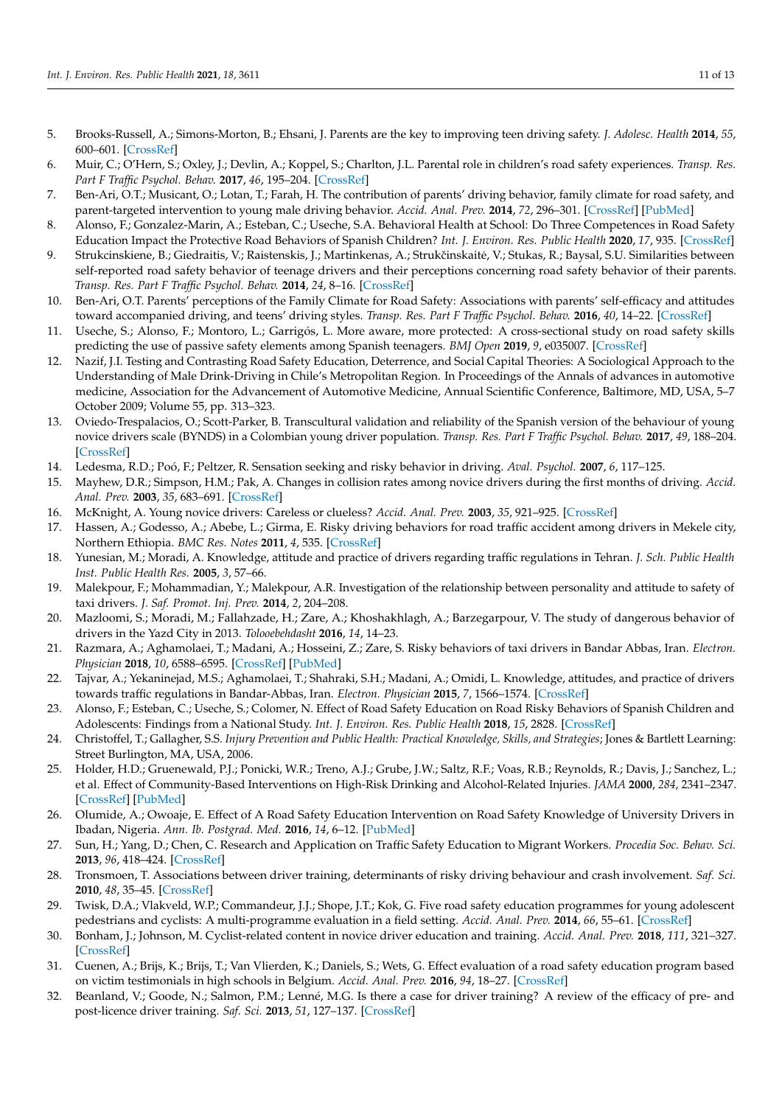- <span id="page-10-19"></span>5. Brooks-Russell, A.; Simons-Morton, B.; Ehsani, J. Parents are the key to improving teen driving safety. *J. Adolesc. Health* **2014**, *55*, 600–601. [\[CrossRef\]](http://doi.org/10.1016/j.jadohealth.2014.08.008)
- 6. Muir, C.; O'Hern, S.; Oxley, J.; Devlin, A.; Koppel, S.; Charlton, J.L. Parental role in children's road safety experiences. *Transp. Res. Part F Traffic Psychol. Behav.* **2017**, *46*, 195–204. [\[CrossRef\]](http://doi.org/10.1016/j.trf.2017.01.014)
- <span id="page-10-0"></span>7. Ben-Ari, O.T.; Musicant, O.; Lotan, T.; Farah, H. The contribution of parents' driving behavior, family climate for road safety, and parent-targeted intervention to young male driving behavior. *Accid. Anal. Prev.* **2014**, *72*, 296–301. [\[CrossRef\]](http://doi.org/10.1016/j.aap.2014.07.010) [\[PubMed\]](http://www.ncbi.nlm.nih.gov/pubmed/25093539)
- <span id="page-10-1"></span>8. Alonso, F.; Gonzalez-Marin, A.; Esteban, C.; Useche, S.A. Behavioral Health at School: Do Three Competences in Road Safety Education Impact the Protective Road Behaviors of Spanish Children? *Int. J. Environ. Res. Public Health* **2020**, *17*, 935. [\[CrossRef\]](http://doi.org/10.3390/ijerph17030935)
- 9. Strukcinskiene, B.; Giedraitis, V.; Raistenskis, J.; Martinkenas, A.; Strukčinskaitė, V.; Stukas, R.; Baysal, S.U. Similarities between self-reported road safety behavior of teenage drivers and their perceptions concerning road safety behavior of their parents. *Transp. Res. Part F Traffic Psychol. Behav.* **2014**, *24*, 8–16. [\[CrossRef\]](http://doi.org/10.1016/j.trf.2014.02.003)
- <span id="page-10-2"></span>10. Ben-Ari, O.T. Parents' perceptions of the Family Climate for Road Safety: Associations with parents' self-efficacy and attitudes toward accompanied driving, and teens' driving styles. *Transp. Res. Part F Traffic Psychol. Behav.* **2016**, *40*, 14–22. [\[CrossRef\]](http://doi.org/10.1016/j.trf.2016.04.006)
- <span id="page-10-3"></span>11. Useche, S.; Alonso, F.; Montoro, L.; Garrigós, L. More aware, more protected: A cross-sectional study on road safety skills predicting the use of passive safety elements among Spanish teenagers. *BMJ Open* **2019**, *9*, e035007. [\[CrossRef\]](http://doi.org/10.1136/bmjopen-2019-035007)
- <span id="page-10-4"></span>12. Nazif, J.I. Testing and Contrasting Road Safety Education, Deterrence, and Social Capital Theories: A Sociological Approach to the Understanding of Male Drink-Driving in Chile's Metropolitan Region. In Proceedings of the Annals of advances in automotive medicine, Association for the Advancement of Automotive Medicine, Annual Scientific Conference, Baltimore, MD, USA, 5–7 October 2009; Volume 55, pp. 313–323.
- <span id="page-10-5"></span>13. Oviedo-Trespalacios, O.; Scott-Parker, B. Transcultural validation and reliability of the Spanish version of the behaviour of young novice drivers scale (BYNDS) in a Colombian young driver population. *Transp. Res. Part F Traffic Psychol. Behav.* **2017**, *49*, 188–204. [\[CrossRef\]](http://doi.org/10.1016/j.trf.2017.06.011)
- <span id="page-10-6"></span>14. Ledesma, R.D.; Poó, F.; Peltzer, R. Sensation seeking and risky behavior in driving. *Aval. Psychol.* **2007**, *6*, 117–125.
- <span id="page-10-7"></span>15. Mayhew, D.R.; Simpson, H.M.; Pak, A. Changes in collision rates among novice drivers during the first months of driving. *Accid. Anal. Prev.* **2003**, *35*, 683–691. [\[CrossRef\]](http://doi.org/10.1016/S0001-4575(02)00047-7)
- <span id="page-10-8"></span>16. McKnight, A. Young novice drivers: Careless or clueless? *Accid. Anal. Prev.* **2003**, *35*, 921–925. [\[CrossRef\]](http://doi.org/10.1016/S0001-4575(02)00100-8)
- <span id="page-10-9"></span>17. Hassen, A.; Godesso, A.; Abebe, L.; Girma, E. Risky driving behaviors for road traffic accident among drivers in Mekele city, Northern Ethiopia. *BMC Res. Notes* **2011**, *4*, 535. [\[CrossRef\]](http://doi.org/10.1186/1756-0500-4-535)
- <span id="page-10-10"></span>18. Yunesian, M.; Moradi, A. Knowledge, attitude and practice of drivers regarding traffic regulations in Tehran. *J. Sch. Public Health Inst. Public Health Res.* **2005**, *3*, 57–66.
- <span id="page-10-11"></span>19. Malekpour, F.; Mohammadian, Y.; Malekpour, A.R. Investigation of the relationship between personality and attitude to safety of taxi drivers. *J. Saf. Promot. Inj. Prev.* **2014**, *2*, 204–208.
- 20. Mazloomi, S.; Moradi, M.; Fallahzade, H.; Zare, A.; Khoshakhlagh, A.; Barzegarpour, V. The study of dangerous behavior of drivers in the Yazd City in 2013. *Tolooebehdasht* **2016**, *14*, 14–23.
- 21. Razmara, A.; Aghamolaei, T.; Madani, A.; Hosseini, Z.; Zare, S. Risky behaviors of taxi drivers in Bandar Abbas, Iran. *Electron. Physician* **2018**, *10*, 6588–6595. [\[CrossRef\]](http://doi.org/10.19082/6588) [\[PubMed\]](http://www.ncbi.nlm.nih.gov/pubmed/29881520)
- <span id="page-10-12"></span>22. Tajvar, A.; Yekaninejad, M.S.; Aghamolaei, T.; Shahraki, S.H.; Madani, A.; Omidi, L. Knowledge, attitudes, and practice of drivers towards traffic regulations in Bandar-Abbas, Iran. *Electron. Physician* **2015**, *7*, 1566–1574. [\[CrossRef\]](http://doi.org/10.19082/1566)
- <span id="page-10-13"></span>23. Alonso, F.; Esteban, C.; Useche, S.; Colomer, N. Effect of Road Safety Education on Road Risky Behaviors of Spanish Children and Adolescents: Findings from a National Study. *Int. J. Environ. Res. Public Health* **2018**, *15*, 2828. [\[CrossRef\]](http://doi.org/10.3390/ijerph15122828)
- 24. Christoffel, T.; Gallagher, S.S. *Injury Prevention and Public Health: Practical Knowledge, Skills, and Strategies*; Jones & Bartlett Learning: Street Burlington, MA, USA, 2006.
- 25. Holder, H.D.; Gruenewald, P.J.; Ponicki, W.R.; Treno, A.J.; Grube, J.W.; Saltz, R.F.; Voas, R.B.; Reynolds, R.; Davis, J.; Sanchez, L.; et al. Effect of Community-Based Interventions on High-Risk Drinking and Alcohol-Related Injuries. *JAMA* **2000**, *284*, 2341–2347. [\[CrossRef\]](http://doi.org/10.1001/jama.284.18.2341) [\[PubMed\]](http://www.ncbi.nlm.nih.gov/pubmed/11066184)
- 26. Olumide, A.; Owoaje, E. Effect of A Road Safety Education Intervention on Road Safety Knowledge of University Drivers in Ibadan, Nigeria. *Ann. Ib. Postgrad. Med.* **2016**, *14*, 6–12. [\[PubMed\]](http://www.ncbi.nlm.nih.gov/pubmed/27721680)
- <span id="page-10-18"></span>27. Sun, H.; Yang, D.; Chen, C. Research and Application on Traffic Safety Education to Migrant Workers. *Procedia Soc. Behav. Sci.* **2013**, *96*, 418–424. [\[CrossRef\]](http://doi.org/10.1016/j.sbspro.2013.08.049)
- 28. Tronsmoen, T. Associations between driver training, determinants of risky driving behaviour and crash involvement. *Saf. Sci.* **2010**, *48*, 35–45. [\[CrossRef\]](http://doi.org/10.1016/j.ssci.2009.05.001)
- <span id="page-10-14"></span>29. Twisk, D.A.; Vlakveld, W.P.; Commandeur, J.J.; Shope, J.T.; Kok, G. Five road safety education programmes for young adolescent pedestrians and cyclists: A multi-programme evaluation in a field setting. *Accid. Anal. Prev.* **2014**, *66*, 55–61. [\[CrossRef\]](http://doi.org/10.1016/j.aap.2014.01.002)
- <span id="page-10-15"></span>30. Bonham, J.; Johnson, M. Cyclist-related content in novice driver education and training. *Accid. Anal. Prev.* **2018**, *111*, 321–327. [\[CrossRef\]](http://doi.org/10.1016/j.aap.2017.12.008)
- <span id="page-10-16"></span>31. Cuenen, A.; Brijs, K.; Brijs, T.; Van Vlierden, K.; Daniels, S.; Wets, G. Effect evaluation of a road safety education program based on victim testimonials in high schools in Belgium. *Accid. Anal. Prev.* **2016**, *94*, 18–27. [\[CrossRef\]](http://doi.org/10.1016/j.aap.2016.05.006)
- <span id="page-10-17"></span>32. Beanland, V.; Goode, N.; Salmon, P.M.; Lenné, M.G. Is there a case for driver training? A review of the efficacy of pre- and post-licence driver training. *Saf. Sci.* **2013**, *51*, 127–137. [\[CrossRef\]](http://doi.org/10.1016/j.ssci.2012.06.021)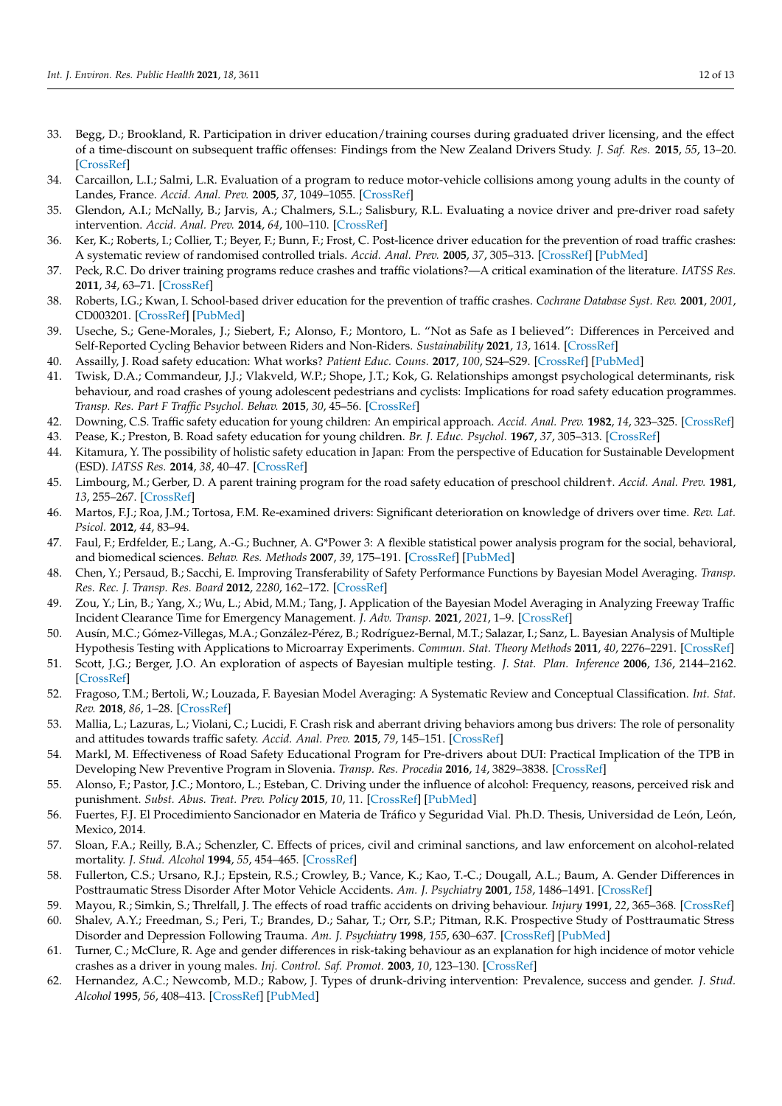- 33. Begg, D.; Brookland, R. Participation in driver education/training courses during graduated driver licensing, and the effect of a time-discount on subsequent traffic offenses: Findings from the New Zealand Drivers Study. *J. Saf. Res.* **2015**, *55*, 13–20. [\[CrossRef\]](http://doi.org/10.1016/j.jsr.2015.07.003)
- 34. Carcaillon, L.I.; Salmi, L.R. Evaluation of a program to reduce motor-vehicle collisions among young adults in the county of Landes, France. *Accid. Anal. Prev.* **2005**, *37*, 1049–1055. [\[CrossRef\]](http://doi.org/10.1016/j.aap.2005.06.003)
- 35. Glendon, A.I.; McNally, B.; Jarvis, A.; Chalmers, S.L.; Salisbury, R.L. Evaluating a novice driver and pre-driver road safety intervention. *Accid. Anal. Prev.* **2014**, *64*, 100–110. [\[CrossRef\]](http://doi.org/10.1016/j.aap.2013.11.017)
- 36. Ker, K.; Roberts, I.; Collier, T.; Beyer, F.; Bunn, F.; Frost, C. Post-licence driver education for the prevention of road traffic crashes: A systematic review of randomised controlled trials. *Accid. Anal. Prev.* **2005**, *37*, 305–313. [\[CrossRef\]](http://doi.org/10.1016/j.aap.2004.09.004) [\[PubMed\]](http://www.ncbi.nlm.nih.gov/pubmed/15667817)
- 37. Peck, R.C. Do driver training programs reduce crashes and traffic violations?—A critical examination of the literature. *IATSS Res.* **2011**, *34*, 63–71. [\[CrossRef\]](http://doi.org/10.1016/j.iatssr.2011.01.001)
- <span id="page-11-0"></span>38. Roberts, I.G.; Kwan, I. School-based driver education for the prevention of traffic crashes. *Cochrane Database Syst. Rev.* **2001**, *2001*, CD003201. [\[CrossRef\]](http://doi.org/10.1002/14651858.CD003201) [\[PubMed\]](http://www.ncbi.nlm.nih.gov/pubmed/11687049)
- <span id="page-11-1"></span>39. Useche, S.; Gene-Morales, J.; Siebert, F.; Alonso, F.; Montoro, L. "Not as Safe as I believed": Differences in Perceived and Self-Reported Cycling Behavior between Riders and Non-Riders. *Sustainability* **2021**, *13*, 1614. [\[CrossRef\]](http://doi.org/10.3390/su13041614)
- <span id="page-11-6"></span>40. Assailly, J. Road safety education: What works? *Patient Educ. Couns.* **2017**, *100*, S24–S29. [\[CrossRef\]](http://doi.org/10.1016/j.pec.2015.10.017) [\[PubMed\]](http://www.ncbi.nlm.nih.gov/pubmed/26549168)
- <span id="page-11-2"></span>41. Twisk, D.A.; Commandeur, J.J.; Vlakveld, W.P.; Shope, J.T.; Kok, G. Relationships amongst psychological determinants, risk behaviour, and road crashes of young adolescent pedestrians and cyclists: Implications for road safety education programmes. *Transp. Res. Part F Traffic Psychol. Behav.* **2015**, *30*, 45–56. [\[CrossRef\]](http://doi.org/10.1016/j.trf.2015.01.011)
- <span id="page-11-3"></span>42. Downing, C.S. Traffic safety education for young children: An empirical approach. *Accid. Anal. Prev.* **1982**, *14*, 323–325. [\[CrossRef\]](http://doi.org/10.1016/0001-4575(82)90045-8)
- <span id="page-11-4"></span>43. Pease, K.; Preston, B. Road safety education for young children. *Br. J. Educ. Psychol.* **1967**, *37*, 305–313. [\[CrossRef\]](http://doi.org/10.1111/j.2044-8279.1967.tb01946.x)
- <span id="page-11-5"></span>44. Kitamura, Y. The possibility of holistic safety education in Japan: From the perspective of Education for Sustainable Development (ESD). *IATSS Res.* **2014**, *38*, 40–47. [\[CrossRef\]](http://doi.org/10.1016/j.iatssr.2014.05.004)
- <span id="page-11-7"></span>45. Limbourg, M.; Gerber, D. A parent training program for the road safety education of preschool children†. *Accid. Anal. Prev.* **1981**, *13*, 255–267. [\[CrossRef\]](http://doi.org/10.1016/0001-4575(81)90008-7)
- <span id="page-11-8"></span>46. Martos, F.J.; Roa, J.M.; Tortosa, F.M. Re-examined drivers: Significant deterioration on knowledge of drivers over time. *Rev. Lat. Psicol.* **2012**, *44*, 83–94.
- <span id="page-11-9"></span>47. Faul, F.; Erdfelder, E.; Lang, A.-G.; Buchner, A. G\*Power 3: A flexible statistical power analysis program for the social, behavioral, and biomedical sciences. *Behav. Res. Methods* **2007**, *39*, 175–191. [\[CrossRef\]](http://doi.org/10.3758/BF03193146) [\[PubMed\]](http://www.ncbi.nlm.nih.gov/pubmed/17695343)
- <span id="page-11-10"></span>48. Chen, Y.; Persaud, B.; Sacchi, E. Improving Transferability of Safety Performance Functions by Bayesian Model Averaging. *Transp. Res. Rec. J. Transp. Res. Board* **2012**, *2280*, 162–172. [\[CrossRef\]](http://doi.org/10.3141/2280-18)
- <span id="page-11-11"></span>49. Zou, Y.; Lin, B.; Yang, X.; Wu, L.; Abid, M.M.; Tang, J. Application of the Bayesian Model Averaging in Analyzing Freeway Traffic Incident Clearance Time for Emergency Management. *J. Adv. Transp.* **2021**, *2021*, 1–9. [\[CrossRef\]](http://doi.org/10.1155/2021/6671983)
- <span id="page-11-12"></span>50. Ausín, M.C.; Gómez-Villegas, M.A.; González-Pérez, B.; Rodríguez-Bernal, M.T.; Salazar, I.; Sanz, L. Bayesian Analysis of Multiple Hypothesis Testing with Applications to Microarray Experiments. *Commun. Stat. Theory Methods* **2011**, *40*, 2276–2291. [\[CrossRef\]](http://doi.org/10.1080/03610921003778183)
- <span id="page-11-13"></span>51. Scott, J.G.; Berger, J.O. An exploration of aspects of Bayesian multiple testing. *J. Stat. Plan. Inference* **2006**, *136*, 2144–2162. [\[CrossRef\]](http://doi.org/10.1016/j.jspi.2005.08.031)
- <span id="page-11-14"></span>52. Fragoso, T.M.; Bertoli, W.; Louzada, F. Bayesian Model Averaging: A Systematic Review and Conceptual Classification. *Int. Stat. Rev.* **2018**, *86*, 1–28. [\[CrossRef\]](http://doi.org/10.1111/insr.12243)
- <span id="page-11-15"></span>53. Mallia, L.; Lazuras, L.; Violani, C.; Lucidi, F. Crash risk and aberrant driving behaviors among bus drivers: The role of personality and attitudes towards traffic safety. *Accid. Anal. Prev.* **2015**, *79*, 145–151. [\[CrossRef\]](http://doi.org/10.1016/j.aap.2015.03.034)
- <span id="page-11-16"></span>54. Markl, M. Effectiveness of Road Safety Educational Program for Pre-drivers about DUI: Practical Implication of the TPB in Developing New Preventive Program in Slovenia. *Transp. Res. Procedia* **2016**, *14*, 3829–3838. [\[CrossRef\]](http://doi.org/10.1016/j.trpro.2016.05.468)
- <span id="page-11-17"></span>55. Alonso, F.; Pastor, J.C.; Montoro, L.; Esteban, C. Driving under the influence of alcohol: Frequency, reasons, perceived risk and punishment. *Subst. Abus. Treat. Prev. Policy* **2015**, *10*, 11. [\[CrossRef\]](http://doi.org/10.1186/s13011-015-0007-4) [\[PubMed\]](http://www.ncbi.nlm.nih.gov/pubmed/25880078)
- 56. Fuertes, F.J. El Procedimiento Sancionador en Materia de Tráfico y Seguridad Vial. Ph.D. Thesis, Universidad de León, León, Mexico, 2014.
- <span id="page-11-18"></span>57. Sloan, F.A.; Reilly, B.A.; Schenzler, C. Effects of prices, civil and criminal sanctions, and law enforcement on alcohol-related mortality. *J. Stud. Alcohol* **1994**, *55*, 454–465. [\[CrossRef\]](http://doi.org/10.15288/jsa.1994.55.454)
- <span id="page-11-19"></span>58. Fullerton, C.S.; Ursano, R.J.; Epstein, R.S.; Crowley, B.; Vance, K.; Kao, T.-C.; Dougall, A.L.; Baum, A. Gender Differences in Posttraumatic Stress Disorder After Motor Vehicle Accidents. *Am. J. Psychiatry* **2001**, *158*, 1486–1491. [\[CrossRef\]](http://doi.org/10.1176/appi.ajp.158.9.1486)
- 59. Mayou, R.; Simkin, S.; Threlfall, J. The effects of road traffic accidents on driving behaviour. *Injury* **1991**, *22*, 365–368. [\[CrossRef\]](http://doi.org/10.1016/0020-1383(91)90095-V)
- <span id="page-11-20"></span>60. Shalev, A.Y.; Freedman, S.; Peri, T.; Brandes, D.; Sahar, T.; Orr, S.P.; Pitman, R.K. Prospective Study of Posttraumatic Stress Disorder and Depression Following Trauma. *Am. J. Psychiatry* **1998**, *155*, 630–637. [\[CrossRef\]](http://doi.org/10.1176/ajp.155.5.630) [\[PubMed\]](http://www.ncbi.nlm.nih.gov/pubmed/9585714)
- <span id="page-11-21"></span>61. Turner, C.; McClure, R. Age and gender differences in risk-taking behaviour as an explanation for high incidence of motor vehicle crashes as a driver in young males. *Inj. Control. Saf. Promot.* **2003**, *10*, 123–130. [\[CrossRef\]](http://doi.org/10.1076/icsp.10.3.123.14560)
- 62. Hernandez, A.C.; Newcomb, M.D.; Rabow, J. Types of drunk-driving intervention: Prevalence, success and gender. *J. Stud. Alcohol* **1995**, *56*, 408–413. [\[CrossRef\]](http://doi.org/10.15288/jsa.1995.56.408) [\[PubMed\]](http://www.ncbi.nlm.nih.gov/pubmed/7674675)